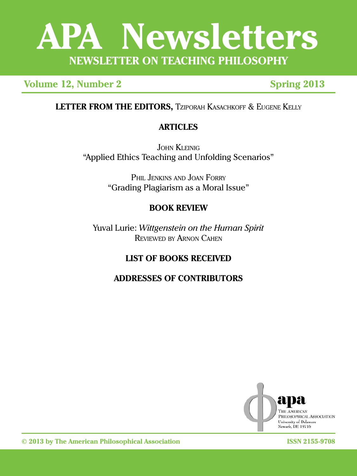# **APA Newsletters NEWSLETTER ON TEACHING PHILOSOPHY**

**Volume 12, Number 2 Spring 2013** 

**LETTER FROM THE EDITORS,** Tziporah Kasachkoff & Eugene Kelly

# **ARTICLES**

JOHN KLEINIG "Applied Ethics Teaching and Unfolding Scenarios"

> PHIL JENKINS AND JOAN FORRY "Grading Plagiarism as a Moral Issue"

# **BOOK REVIEW**

Yuval Lurie: *Wittgenstein on the Human Spirit* REVIEWED BY ARNON CAHEN

# **LIST OF BOOKS RECEIVED**

# **ADDRESSES OF CONTRIBUTORS**



**© 2013 by The American Philosophical Association ISSN 2155-9708**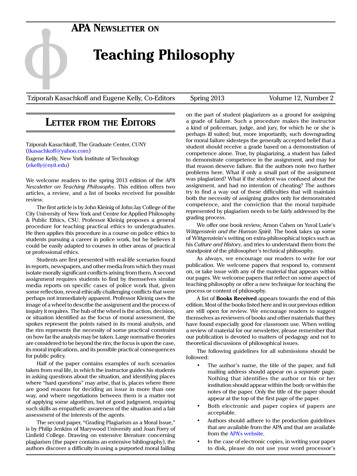# **APA Newsletter on**

# **Teaching Philosophy**

Tziporah Kasachkoff and Eugene Kelly, Co-Editors Spring 2013 Volume 12, Number 2

## **Letter from the Editors**

Tziporah Kasachkoff, The Graduate Center, CUNY ([tkasachkoff@yahoo.com](mailto:tkasachkoff%40yahoo.com?subject=)) Eugene Kelly, New York Institute of Technology ([ekelly@nyit.edu\)](mailto:ekelly%40nyit.edu?subject=)

We welcome readers to the spring 2013 edition of the *APA Newsletter on Teaching Philosophy*. This edition offers two articles, a review, and a list of books received for possible review.

The first article is by John Kleinig of John Jay College of the City University of New York and Centre for Applied Philosophy & Public Ethics, CSU. Professor Kleinig proposes a general procedure for teaching practical ethics to undergraduates. He then applies this procedure in a course on police ethics to students pursuing a career in police work, but he believes it could be easily adapted to courses in other areas of practical or professional ethics.

Students are first presented with real-life scenarios found in reports, newspapers, and other media from which they must isolate morally significant conflicts arising from them. A second assignment requires students to find by themselves similar media reports on specific cases of police work that, given some reflection, reveal ethically challenging conflicts that were perhaps not immediately apparent. Professor Kleinig uses the image of a wheel to describe the assignment and the process of inquiry it requires. The hub of the wheel is the action, decision, or situation identified as the focus of moral assessment, the spokes represent the points raised in its moral analysis, and the rim represents the necessity of some practical constraint on how far the analysis may be taken. Large normative theories are considered to be beyond the rim; the focus is upon the case, its moral implications, and its possible practical consequences for public policy.

Half of the paper contains examples of such scenarios taken from real life, in which the instructor guides his students in asking questions about the situation, and identifying places where "hard questions" may arise, that is, places where there are good reasons for deciding an issue in more than one way, and where negotiations between them is a matter not of applying some algorithm, but of good judgment, requiring such skills as empathetic awareness of the situation and a fair assessment of the interests of the agents.

The second paper, "Grading Plagiarism as a Moral Issue," is by Philip Jenkins of Marywood University and Joan Forry of Linfield College. Drawing on extensive literature concerning plagiarism (the paper contains an extensive bibliography), the authors discover a difficulty in using a purported moral failing

on the part of student plagiarizers as a ground for assigning a grade of failure. Such a procedure makes the instructor a kind of policeman, judge, and jury, for which he or she is perhaps ill suited; but, more importantly, such downgrading for moral failure sidesteps the generally accepted belief that a student should receive a grade based on a demonstration of competence alone. True, by plagiarizing, a student has failed to demonstrate competence in the assignment, and may for that reason deserve failure. But the authors note two further problems here. What if only a small part of the assignment was plagiarized? What if the student was confused about the assignment, and had no intention of cheating? The authors try to find a way out of these difficulties that will maintain both the necessity of assigning grades only for demonstrated competence, and the conviction that the moral turpitude represented by plagiarism needs to be fairly addressed by the grading process.

We offer one book review, Arnon Cahen on Yuval Lurie's *Wittgenstein and the Human Spirit.* The book takes up some of Wittgenstein's writing on extra-philosophical topics such as his *Culture and History,* and tries to understand them from the standpoint of the philosopher's technical philosophy.

As always, we encourage our readers to write for our publication. We welcome papers that respond to, comment on, or take issue with any of the material that appears within our pages. We welcome papers that reflect on some aspect of teaching philosophy or offer a new technique for teaching the process or content of philosophy.

A list of **Books Received** appears towards the end of this edition. Most of the books listed here and in our previous edition are still open for review. We encourage readers to suggest themselves as reviewers of books and other materials that they have found especially good for classroom use. When writing a review of material for our newsletter, please remember that our publication is devoted to matters of pedagogy and not to theoretical discussions of philosophical issues.

The following guidelines for all submissions should be followed:

- The author's name, the title of the paper, and full mailing address should appear on a *separate* page. Nothing that identifies the author or his or her institution should appear within the body or within the notes of the paper. Only the title of the paper should appear at the top of the first page of the paper.
- Both electronic and paper copies of papers are acceptable.
- Authors should adhere to the production guidelines that are available from the APA and that are available from the [APA's website.](http://www.apaonline.org)
- In the case of electronic copies, in writing your paper to disk, please do not use your word processor's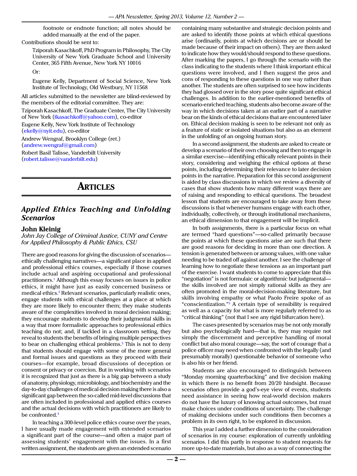footnote or endnote function; all notes should be added manually at the end of the paper.

Contributions should be sent to:

Tziporah Kasachkoff, PhD Program in Philosophy, The City University of New York Graduate School and University Center, 365 Fifth Avenue, New York NY 10016

Or:

Eugene Kelly, Department of Social Science, New York Institute of Technology, Old Westbury, NY 11568

All articles submitted to the newsletter are blind-reviewed by the members of the editorial committee. They are: Tziporah Kasachkoff, The Graduate Center, The City University of New York ([tkasachkoff@yahoo.com](mailto:tkasachkoff%40yahoo.com?subject=)), co-editor

Eugene Kelly, New York Institute of Technology ([ekelly@nyit.edu](mailto:ekelly%40nyit.edu?subject=)), co-editor Andrew Wengraf, Brooklyn College (ret.)

([andrew.wengraf@gmail.com](mailto:andrew.wengraf%40gmail.com?subject=))

Robert Basil Talisse, Vanderbilt University ([robert.talisse@vanderbilt.edu\)](mailto:robert.talisse%40vanderbilt.edu?subject=)

# **Articles**

### *Applied Ethics Teaching and Unfolding Scenarios*

### **John Kleinig**

*John Jay College of Criminal Justice, CUNY and Centre for Applied Philosophy & Public Ethics, CSU*

There are good reasons for giving the discussion of scenarios ethically challenging narratives—a significant place in applied and professional ethics courses, especially if those courses include actual and aspiring occupational and professional practitioners.[1](#page-4-0) Although this essay focuses on issues in police ethics, it might have just as easily concerned business or medical ethics[.2](#page-4-1) Relevant scenarios, particularly realistic ones, engage students with ethical challenges at a place at which they are more likely to encounter them; they make students aware of the complexities involved in moral decision making; they encourage students to develop their judgmental skills in a way that more formalistic approaches to professional ethics teaching do not; and, if tackled in a classroom setting, they reveal to students the benefits of bringing multiple perspectives to bear on challenging ethical problems.<sup>3</sup> This is not to deny that students should engage with some of the more general and formal issues and questions as they proceed with their courses—for example, broad discussions of deception or consent or privacy or coercion. But in working with scenarios it is recognized that just as there is a big gap between a study of anatomy, physiology, microbiology, and biochemistry and the day-to-day challenges of medical decision making there is also a significant gap between the so-called mid-level discussions that are often included in professional and applied ethics courses and the actual decisions with which practitioners are likely to be confronted[.4](#page-5-1)

In teaching a 300-level police ethics course over the years, I have usually made engagement with extended scenarios a significant part of the course—and often a major part of assessing students' engagement with the issues. In a first written assignment, the students are given an extended scenario

containing many substantive and strategic decision points and are asked to identify those points at which ethical questions arise (ordinarily, points at which decisions are or should be made because of their impact on others). They are then asked to indicate how they would/should respond to these questions. After marking the papers, I go through the scenario with the class indicating to the students where I think important ethical questions were involved, and I then suggest the pros and cons of responding to these questions in one way rather than another. The students are often surprised to see how incidents they had glossed over in the story pose quite significant ethical challenges. In addition to the earlier-mentioned benefits of scenario-enriched teaching, students also become aware of the way in which decisions taken at an earlier part of a narrative bear on the kinds of ethical decisions that are encountered later on. Ethical decision making is seen to be relevant not only as a feature of static or isolated situations but also as an element in the unfolding of an ongoing human story.

In a second assignment, the students are asked to create or develop a scenario of their own choosing and then to engage in a similar exercise—identifying ethically relevant points in their story, considering and weighing the ethical options at these points, including determining their relevance to later decision points in the narrative. Preparation for this second assignment is aided by class discussions in which we review a diversity of cases that show students how many different ways there are of raising and responding to ethical questions. The broadest lesson that students are encouraged to take away from these discussions is that whenever humans engage with each other, individually, collectively, or through institutional mechanisms, an ethical dimension to that engagement will be implicit.

In both assignments, there is a particular focus on what are termed "hard questions"—so-called primarily because the points at which these questions arise are such that there are good reasons for deciding in more than one direction. A tension is generated between or among values, with one value needing to be traded off against another. I see the challenge of learning how to negotiate these tensions as an important part of the exercise. I want students to come to appreciate that this "negotiation" is not formulaic or algorithmic but judgmental the skills involved are not simply rational skills as they are often promoted in the moral-decision-making literature, but skills involving empathy or what Paolo Freire spoke of as "conscientization.["5](#page-5-2) A certain type of sensibility is required as well as a capacity for what is more regularly referred to as "critical thinking" (not that I see any rigid bifurcation here).

The cases presented by scenarios may be not only morally but also psychologically hard—that is, they may require not simply the discernment and perceptive handling of moral conflict but also moral courage—say, the sort of courage that a police officer may need when confronted with the legally (and presumably morally) questionable behavior of someone who is also his or her friend.

Students are also encouraged to distinguish between "Monday morning quarterbacking" and live decision making in which there is no benefit from 20/20 hindsight. Because scenarios often provide a god's-eye view of events, students need assistance in seeing how real-world decision makers do not have the luxury of knowing actual outcomes, but must make choices under conditions of uncertainty. The challenge of making decisions under such conditions then becomes a problem in its own right, to be explored in discussion.

This year I added a further dimension to the consideration of scenarios in my course: exploration of currently unfolding scenarios. I did this partly in response to student requests for more up-to-date materials, but also as a way of connecting the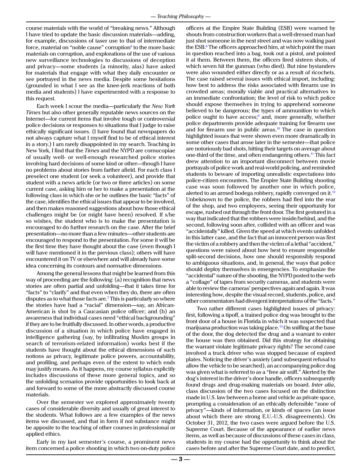course materials with the world of "breaking news." Although I have tried to update the basic discussion materials—adding, for example, discussions of taser use to that of intermediate force, material on "noble cause" corruption $^{\rm 6}$  to the more basic materials on corruption, and explorations of the use of various new surveillance technologies to discussions of deception and privacy—some students (a minority, alas) have asked for materials that engage with what they daily encounter or see portrayed in the news media. Despite some hesitations (grounded in what I see as the knee-jerk reactions of both media and students) I have experimented with a response to this request.

Each week I scour the media—particularly the *New York Times* but also other generally reputable news sources on the Internet—for current items that involve tough or controversial police decisions or responses to situations that I judge to raise ethically significant issues. (I have found that newspapers do not always capture what I myself find to be of ethical interest in a story.) I am rarely disappointed in my search. Teaching in New York, I find that the *Times* and the NYPD are cornucopiae of usually well- or well-enough researched police stories involving hard decisions of some kind or other—though I have no problems about stories from farther afield. For each class I preselect one student (or seek a volunteer), and provide that student with a news article (or two or three articles) on some current case, asking him or her to make a presentation at the following class in which she or he outlines the basic "facts" of the case, identifies the ethical issues that appear to be involved, and then makes reasoned suggestions about how those ethical challenges might be (or might have been) resolved. If s/he so wishes, the student who is to make the presentation is encouraged to do further research on the case. After the brief presentation—no more than a few minutes—other students are encouraged to respond to the presentation. For some it will be the first time they have thought about the case (even though I will have mentioned it in the previous class); others will have encountered it on TV or elsewhere and will already have some idea concerning its contours and normative dimensions.

Among the general lessons that might be learned from this way of proceeding are the following: (a) recognition that news stories are often partial and unfolding—that it takes time for "facts" to "clarify" and that even when they do, there are often disputes as to what those facts are.<sup>[7](#page-5-4)</sup> This is particularly so where the stories have had a "racial" dimension—say, an African-American is shot by a Caucasian police officer; and (b) an awareness that individual cases need "ethical backgrounding" if they are to be fruitfully discussed. In other words, a productive discussion of a situation in which police have engaged in intelligence gathering (say, by infiltrating Muslim groups in search of terrorism-related information) works best if the students have thought about the ethical dimensions of such notions as privacy, legitimate police powers, accountability, and profiling, and perhaps even of the extent to which ends may justify means. As it happens, my course syllabus explicitly includes discussions of these more general topics, and so the unfolding scenarios provide opportunities to look back at and forward to some of the more abstractly discussed course materials.

Over the semester we explored approximately twenty cases of considerable diversity and usually of great interest to the students. What follows are a few examples of the news items we discussed, and that in form if not substance might be apposite to the teaching of other courses in professional or applied ethics.

Early in my last semester's course, a prominent news item concerned a police shooting in which two on-duty police

officers at the Empire State Building (ESB) were warned by shouts from construction workers that a well-dressed man had just shot someone in the next street and was now walking past the ESB.<sup>[8](#page-5-5)</sup> The officers approached him, at which point the man in question reached into a bag, took out a pistol, and pointed it at them. Between them, the officers fired sixteen shots, of which seven hit the gunman (who died). But nine bystanders were also wounded either directly or as a result of ricochets. The case raised several issues with ethical import, including: how best to address the risks associated with firearm use in crowded areas; morally viable and practical alternatives to an immediate confrontation; the level of risk to which police should expose themselves in trying to apprehend someone believed to be dangerous; the types of ammunition to which police ought to have access;<sup>9</sup> and, more generally, whether police departments provide adequate training for firearm use and for firearm use in public areas.<sup>10</sup> The case in question highlighted issues that were shown even more dramatically in some other cases that arose later in the semester—that police are notoriously bad shots, hitting their targets on average about one-third of the time, and often endangering others.[11](#page-5-8) This fact drew attention to an important disconnect between movie portrayals of police work and real-world policing, and reminded students to beware of importing unrealistic expectations into police-citizen encounters. The Empire State Building shooting case was soon followed by another one in which police, alerted to an armed bodega robbery, rapidly converged on it.<sup>[12](#page-5-9)</sup> Unbeknown to the police, the robbers had fled into the rear of the shop, and two employees, seeing their opportunity for escape, rushed out through the front door. The first gestured in a way that indicated that the robbers were inside/behind, and the second, following soon after, collided with an officer and was "accidentally" killed. Given the speed at which events unfolded in this latter case, and the fact that an innocent person was first the victim of a robbery and then the victim of a lethal "accident," questions were raised about how best to ensure responsible split-second decisions, how one should responsibly respond to ambiguous situations, and, in general, the ways that police should deploy themselves in emergencies. To emphasize the "accidental" nature of the shooting, the NYPD posted to the web a "collage" of tapes from security cameras, and students were able to review the cameras' perspectives again and again. It was interesting how, despite the visual record, students, police, and other commentators had divergent interpretations of the "facts."

Two rather different cases highlighted issues of privacy: first, following a tipoff, a trained police dog was brought to the front door of a house in Florida in which it was suspected that marijuana production was taking place.[13](#page-5-10) On sniffing at the base of the door, the dog detected the drug and a warrant to enter the house was then obtained. Did this strategy for obtaining the warrant violate legitimate privacy rights? The second case involved a truck driver who was stopped because of expired plates. Noticing the driver's anxiety (and subsequent refusal to allow the vehicle to be searched), an accompanying police dog was given what is referred to as a "free air sniff." Alerted by the dog's interest in the driver's door handle, officers subsequently found drugs and drug-making materials on board. *Inter alia*, class discussion of the two cases focused on the distinction made in U.S. law between a home and vehicle as private space, prompting a consideration of an ethically defensible "zone of privacy"—kinds of information, or kinds of spaces (an issue about which there are strong E.U.-U.S. disagreements). On October 31, 2012, the two cases were argued before the U.S. Supreme Court. Because of the appearance of earlier news items, as well as because of discussions of these cases in class, students in my course had the opportunity to think about the cases before and after the Supreme Court date, and to predict,

**— 3 —**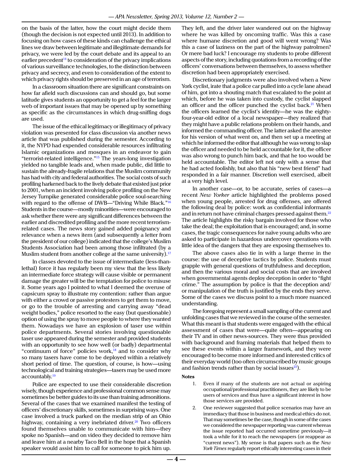on the basis of the latter, how the court might decide them (though the decision is not expected until 2013). In addition to focusing on how cases of these kinds can challenge the ethical lines we draw between legitimate and illegitimate demands for privacy, we were led by the court debate and its appeal to an earlier precedent<sup>14</sup> to consideration of the privacy implications of various surveillance technologies, to the distinction between privacy and secrecy, and even to consideration of the extent to which privacy rights should be preserved in an age of terrorism.

In a classroom situation there are significant constraints on how far afield such discussions can and should go, but some latitude gives students an opportunity to get a feel for the larger web of important issues that may be opened up by something as specific as the circumstances in which drug-sniffing dogs are used.

The issue of the ethical legitimacy or illegitimacy of privacy violation was presented for class discussion via another news article that was published during the semester. According to it, the NYPD had expended considerable resources infiltrating Islamic organizations and mosques in an endeavor to gain "terrorist-related intelligence.["15](#page-5-12) The years-long investigation yielded no tangible leads and, when made public, did little to sustain the already-fragile relations that the Muslim community has had with city and federal authorities. The social costs of such profiling harkened back to the lively debate that existed just prior to 2001, when an incident involving police profiling on the New Jersey Turnpike generated considerable police soul-searching with regard to the offense of DWB—"Driving While Black."<sup>[16](#page-5-13)</sup> Students in the course—mostly minorities—were encouraged to ask whether there were any significant differences between the earlier and discredited profiling and the more recent terrorismrelated cases. The news story gained added poignancy and relevance when a news item (and subsequently a letter from the president of our college) indicated that the college's Muslim Students Association had been among those infiltrated (by a Muslim student from another college at the same university).<sup>[17](#page-5-14)</sup>

In classes devoted to the issue of intermediate (less-thanlethal) force it has regularly been my view that the less likely an intermediate force strategy will cause visible or permanent damage the greater will be the temptation for police to misuse it. Some years ago I pointed to what I deemed the overuse of capsicum spray to illustrate my contention: rather than argue with either a crowd or passive protesters to get them to move, or go to the trouble of arresting and carrying away "dead weight bodies," police resorted to the easy (but questionable) option of using the spray to move people to where they wanted them. Nowadays we have an explosion of taser use within police departments. Several stories involving questionable taser use appeared during the semester and provided students with an opportunity to see how well (or badly) departmental "continuum of force" policies work, $18$  and to consider why so many tasers have come to be deployed within a relatively short period of time. The question, of course, is how—using technological and training strategies—tasers may be used more accountably.<sup>19</sup>

Police are expected to use their considerable discretion wisely, though experience and professional common sense may sometimes be better guides to its use than training admonitions. Several of the cases that we examined manifest the testing of officers' discretionary skills, sometimes in surprising ways. One case involved a truck parked on the median strip of an Ohio highway, containing a very inebriated driver. $20$  Two officers found themselves unable to communicate with him—they spoke no Spanish—and on video they decided to remove him and leave him at a nearby Taco Bell in the hope that a Spanish speaker would assist him to call for someone to pick him up. They left, and the driver later wandered out on the highway where he was killed by oncoming traffic. Was this a case where humane discretion and good will went wrong? Was this a case of laziness on the part of the highway patrolmen? Or mere bad luck? I encourage my students to probe different aspects of the story, including quotations from a recording of the officers' conversations between themselves, to assess whether discretion had been appropriately exercised.

Discretionary judgments were also involved when a New York cyclist, irate that a police car pulled into a cycle lane ahead of him, got into a shouting match that escalated to the point at which, before he was taken into custody, the cyclist slapped an officer and the officer punched the cyclist back. $21$  When the officers learned the cyclist's identity—he was the eightyfour-year-old editor of a local newspaper—they realized that they might have a public relations problem on their hands, and informed the commanding officer. The latter asked the arrestee for his version of what went on, and then set up a meeting at which he informed the editor that although he was wrong to slap the officer and needed to be held accountable for it, the officer was also wrong to punch him back, and that he too would be held accountable. The editor left not only with a sense that he had acted foolishly, but also that his "new best friend" had responded in a fair manner. Discretion well exercised, albeit at a very high level.

In another case—or, to be accurate, series of cases—a recent *New Yorker* article highlighted the problems posed when young people, arrested for drug offenses, are offered the following deal by police: work as confidential informants and in return not have criminal charges pressed against them.<sup>22</sup> The article highlights the risky bargain involved for those who take the deal; the exploitation that is encouraged; and, in some cases, the tragic consequences for naïve young adults who are asked to participate in hazardous undercover operations with little idea of the dangers that they are exposing themselves to.

The above cases also tie in with a large theme in the course: the use of deceptive tactics by police. Students must grapple with general questions of truthfulness and deception, and then the various moral and social costs that are involved when governmental agents deploy deception in order to "fight crime." The assumption by police is that the deception and/ or manipulation of the truth is justified by the ends they serve. Some of the cases we discuss point to a much more nuanced understanding.

The foregoing represent a small sampling of the current and unfolding cases that we reviewed in the course of the semester. What this meant is that students were engaged with the ethical assessment of cases that were—quite often—appearing on their TV and in other news-sources. They were thus provided with background and framing materials that helped them to see these events within a larger framework, and they were encouraged to become more informed and interested critics of their everyday world (too often circumscribed by music groups and fashion trends rather than by social issues $^{23}$  $^{23}$  $^{23}$ ).

**Notes**

- <span id="page-4-0"></span>1. Even if many of the students are not actual or aspiring occupational/professional practitioners, they are likely to be users of services and thus have a significant interest in how those services are provided.
- <span id="page-4-1"></span>2. One reviewer suggested that police scenarios may have an immediacy that those in business and medical ethics do not. That may sometimes be the case, though in some of the cases we considered the newspaper reporting was current whereas the issue reported had occurred sometime previously—it took a while for it to reach the newspapers (or reappear as "current news"). My sense is that papers such as the *New York Times* regularly report ethically interesting cases in their

**— 4 —**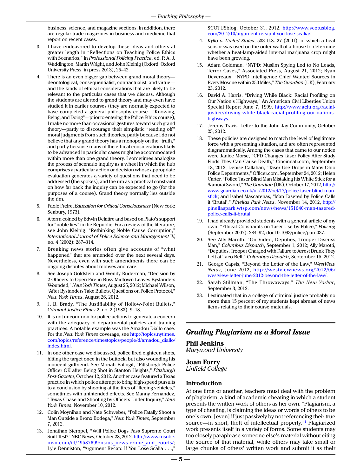business, science, and magazine sections. In addition, there are regular trade magazines in business and medicine that report on recent cases.

- <span id="page-5-0"></span>3. I have endeavored to develop these ideas and others at greater length in "Reflections on Teaching Police Ethics with Scenarios," in *Professional Policing Practice*, ed. P. A. J. Waddington, Martin Wright, and John Kleinig (Oxford: Oxford University Press, in press 2013), 25–42.
- <span id="page-5-1"></span>4. There is an even bigger gap between grand moral theory deontological, consequentialist, contractualist, and virtue and the kinds of ethical considerations that are likely to be relevant to the particular cases that we discuss. Although the students are alerted to grand theory and may even have studied it in earlier courses (they are normally expected to have completed a general philosophy course—"Knowing, Being, and Doing"—prior to entering the Police Ethics course), I make no more than occasional gestures toward such grand theory—partly to discourage their simplistic "reading off" moral judgments from such theories, partly because I do not believe that any grand theory has a monopoly on the "truth," and partly because many of the ethical considerations likely to be advanced in particular cases might be accommodated within more than one grand theory. I sometimes analogize the process of scenario inquiry as a wheel in which the hub comprises a particular action or decision whose appropriate evaluation generates a variety of questions that need to be addressed (the spokes), and the rim as a practical constraint on how far back the inquiry can be expected to go (for the purposes of a course). Grand theory normally lies outside the rim.
- <span id="page-5-2"></span>5. Paolo Freire, *Education for Critical Consciousness* (New York: Seabury, 1973).
- <span id="page-5-3"></span>6. A term coined by Edwin Delattre and based on Plato's support for "noble lies" in the Republic. For a review of the literature, see John Kleinig, "Rethinking Noble Cause Corruption," *International Journal of Police Science and Management* IV, no. 4 (2002): 287–314.
- <span id="page-5-4"></span>7. Breaking news stories often give accounts of "what happened" that are amended over the next several days. Nevertheless, even with such amendments there can be ongoing disputes about motives and care.
- <span id="page-5-5"></span>8. See Joseph Goldstein and Wendy Ruderman, "Decision by 2 Officers to Open Fire in Busy Midtown Leaves Bystanders Wounded," *New York Times*, August 25, 2012; Michael Wilson, "After Bystanders Take Bullets, Questions on Police Protocol," *New York Times*, August 26, 2012.
- <span id="page-5-6"></span>9. J. B. Brady, "The Justifiability of Hollow-Point Bullets," *Criminal Justice Ethics* 2, no. 2 (1983): 9–18.
- <span id="page-5-7"></span>10. It is not uncommon for police actions to generate a concern with the adequacy of departmental policies and training practices. A notable example was the Amadou Diallo case. For the *New York Times* coverage, see [http://topics.nytimes.](http://topics.nytimes.com/topics/reference/timestopics/people/d/amadou_diallo/index.html) [com/topics/reference/timestopics/people/d/amadou\\_diallo/](http://topics.nytimes.com/topics/reference/timestopics/people/d/amadou_diallo/index.html) [index.html.](http://topics.nytimes.com/topics/reference/timestopics/people/d/amadou_diallo/index.html)
- <span id="page-5-8"></span>11. In one other case we discussed, police fired eighteen shots, hitting the target once in the buttock, but also wounding his innocent girlfriend. See Moriah Balingit, "Pittsburgh Police Officer OK after Being Shot in Stanton Heights," *Pittsburgh Post-Gazette*, October 12, 2012. Another case featured a Texas practice in which police attempt to bring high-speed pursuits to a conclusion by shooting at the tires of "fleeing vehicles," sometimes with unintended effects. See Manny Fernandez, "Texas Chase and Shooting by Officers Under Inquiry," *New York Times*, November 10, 2012.
- <span id="page-5-9"></span>12. Colin Moynihan and Nate Schweber, "Police Fatally Shoot a Man Outside a Bronx Bodega," *New York Times*, September 7, 2012.
- <span id="page-5-10"></span>13. Jonathan Stempel, "Will Police Dogs Pass Supreme Court Sniff Test?" NBC News, October 28, 2012. [http://www.msnbc.](http://www.msnbc.msn.com/id/49587699/ns/us_news-crime_and_courts/) [msn.com/id/49587699/ns/us\\_news-crime\\_and\\_courts/](http://www.msnbc.msn.com/id/49587699/ns/us_news-crime_and_courts/); Lyle Denniston, "Argument Recap: If You Lose Scalia . . .,"

SCOTUSblog, October 31, 2012. [http://www.scotusblog.](http://www.scotusblog.com/2012/10/argument-recap-if-you-lose-scalia/) [com/2012/10/argument-recap-if-you-lose-scalia/](http://www.scotusblog.com/2012/10/argument-recap-if-you-lose-scalia/).

- <span id="page-5-11"></span>14. *Kyllo v. United States*, 533 U.S. 27 (2001), in which a heat sensor was used on the outer wall of a house to determine whether a heat-lamp-aided internal marijuana crop might have been growing.
- <span id="page-5-12"></span>15. Adam Goldman, "NYPD: Muslim Spying Led to No Leads, Terror Cases," Associated Press, August 21, 2012; Ryan Devereaux, "NYPD Intelligence Chief Wanted Sources in Every Mosque within 250 Miles," *The Guardian* (UK), February 23, 2012.
- <span id="page-5-13"></span>16. David A. Harris, "Driving While Black: Racial Profiling on Our Nation's Highways," An American Civil Liberties Union Special Report June 7, 1999. [http://www.aclu.org/racial](http://www.aclu.org/racial-justice/driving-while-black-racial-profiling-our-nations-highways)[justice/driving-while-black-racial-profiling-our-nations](http://www.aclu.org/racial-justice/driving-while-black-racial-profiling-our-nations-highways)[highways](http://www.aclu.org/racial-justice/driving-while-black-racial-profiling-our-nations-highways).
- <span id="page-5-14"></span>17. Jeremy Travis, Letter to the John Jay Community, October 25, 2012.
- <span id="page-5-15"></span>18. These policies are designed to match the level of legitimate force with a presenting situation, and are often represented diagrammatically. Among the cases that came to our notice were Janice Morse, "CPD Changes Taser Policy After Study Finds They Can Cause Death," Cincinnati.com, September 18, 2012; Denise Callahan, "Taser Use Drops in Many Ohio Police Departments," Officer.com, September 24, 2012; Helen Carter, "Police Taser Blind Man Mistaking his White Stick for a Samurai Sword," *The Guardian* (UK), October 17, 2012, [http://](http://www.guardian.co.uk/uk/2012/oct/17/police-taser-blind-man-stick) [www.guardian.co.uk/uk/2012/oct/17/police-taser-blind-man](http://www.guardian.co.uk/uk/2012/oct/17/police-taser-blind-man-stick)[stick](http://www.guardian.co.uk/uk/2012/oct/17/police-taser-blind-man-stick); and Isabel Mascarenas, "Man Tasered by Police Calls it 'Brutal'," *Pinellas Park News*, November 14, 2012, [http://](http://pinellaspark.wtsp.com/news/news/151640-man-tasered-police-calls-it-brutal) [pinellaspark.wtsp.com/news/news/151640-man-tasered](http://pinellaspark.wtsp.com/news/news/151640-man-tasered-police-calls-it-brutal)[police-calls-it-brutal.](http://pinellaspark.wtsp.com/news/news/151640-man-tasered-police-calls-it-brutal)
- <span id="page-5-16"></span>19. I had already provided students with a general article of my own: "Ethical Constraints on Taser Use by Police," *Policing* (September 2007): 284–92, doi:10.1093/police/pam037.
- <span id="page-5-17"></span>See Ally Marotti, "On Video, Deputies, Trooper Discuss Man," *Columbus Dispatch*, September 1, 2012; Ally Marotti, "Deputies, Trooper Charged with Failure to Arrest Drunk They Left at Taco Bell," *Columbus Dispatch*, September 15, 2012.
- <span id="page-5-18"></span>21. George Capsis, "Beyond the Letter of the Law," *WestView News*, June 2012, [http://westviewnews.org/2012/06/](http://westviewnews.org/2012/06/westview-letter-june-2012-beyond-the-letter-of-the-law/) [westview-letter-june-2012-beyond-the-letter-of-the-law/](http://westviewnews.org/2012/06/westview-letter-june-2012-beyond-the-letter-of-the-law/).
- <span id="page-5-19"></span>22. Sarah Stillman, "The Throwaways," *The New Yorker*, September 3, 2012.
- <span id="page-5-20"></span>23. I estimated that in a college of criminal justice probably no more than 15 percent of my students kept abreast of news items relating to their course materials.

### *Grading Plagiarism as a Moral Issue*

# **Phil Jenkins**

*Marywood University*

#### **Joan Forry** *Linfield College*

### **Introduction**

At one time or another, teachers must deal with the problem of plagiarism, a kind of academic cheating in which a student presents the written work of others as her own. "Plagiarism, a type of cheating, is claiming the ideas or words of others to be one's own, [even] if just passively by not referencing their true source—in short, theft of intellectual property."[1](#page-10-0) Plagiarized work presents itself in a variety of forms. Some students may too closely paraphrase someone else's material without citing the source of that material, while others may take small or large chunks of others' written work and submit it as their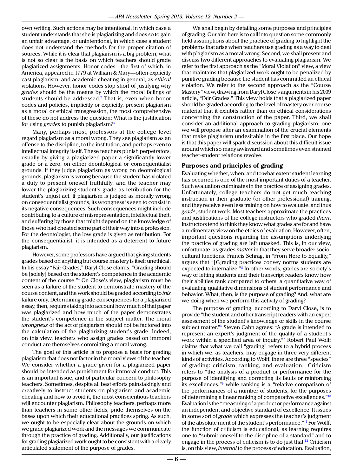own writing. Such actions may be intentional, in which case a student understands that she is plagiarizing and does so to gain an unfair advantage, or unintentional, in which case a student does not understand the methods for the proper citation of sources. While it is clear that plagiarism is a big problem, what is not so clear is the basis on which teachers should grade plagiarized assignments. Honor codes—the first of which, in America, appeared in 1779 at William & Mary—often explicitly cast plagiarism, and academic cheating in general, as *ethical*  violations. However, honor codes stop short of justifying why *grades* should be the means by which the moral failings of students should be addressed.<sup>[2](#page-10-1)</sup> That is, even when honor codes and policies, implicitly or explicitly, present plagiarism as a moral or ethical transgression, the most comprehensive of these do not address the question: What is the justification for using *grades* to punish plagiarism[?3](#page-10-2)

Many, perhaps most, professors at the college level regard plagiarism as a moral wrong. They see plagiarism as an offense to the discipline, to the institution, and perhaps even to intellectual integrity itself. These teachers punish perpetrators, usually by giving a plagiarized paper a significantly lower grade or a zero, on either deontological or consequentialist grounds. If they judge plagiarism as wrong on deontological grounds, plagiarism is wrong because the student has violated a duty to present oneself truthfully, and the teacher may lower the plagiarizing student's grade as retribution for the student's unjust act. If plagiarism is judged as morally wrong on consequentialist grounds, its wrongness is seen to consist in its negative consequences. Such consequences might include contributing to a culture of misrepresentation, intellectual theft, and suffering by those that might depend on the knowledge of those who had cheated some part of their way into a profession. For the deontologist, the low grade is given as retribution. For the consequentialist, it is intended as a deterrent to future plagiarism.

However, some professors have argued that giving students grades based on anything but course mastery is itself unethical. In his essay "Fair Grades," Daryl Close claims, "Grading should be [solely] based on the student's competence in the academic content of the course."[4](#page-10-3) On Close's view, plagiarism must be seen as a failure of the student to demonstrate mastery of the course content, and the work should be graded according to *this* failure only. Determining grade consequences for a plagiarized essay, then, requires taking into account how much of that paper was plagiarized and how much of the paper demonstrates the student's competence in the subject matter. The moral *wrongness* of the act of plagiarism should not be factored into the calculation of the plagiarizing student's grade. Indeed, on this view, teachers who assign grades based on immoral conduct are themselves committing a moral wrong.

The goal of this article is to propose a basis for grading plagiarism that does not factor in the moral views of the teacher. We consider whether a grade given for a plagiarized paper should be intended as punishment for immoral conduct. This is an important issue, and of particular concern to philosophy teachers. Sometimes, despite all best efforts painstakingly and creatively to instruct students on plagiarism and academic cheating and how to avoid it, the most conscientious teachers will encounter plagiarism. Philosophy teachers, perhaps more than teachers in some other fields, pride themselves on the bases upon which their educational practices spring. As such, we ought to be especially clear about the grounds on which we grade plagiarized work and the messages we communicate through the practice of grading. Additionally, our justifications for grading plagiarized work ought to be consistent with a clearly articulated statement of the purpose of grades.

We shall begin by detailing some purposes and principles of grading. Our aim here is to call into question some commonly held assumptions about the practice of grading to highlight the problems that arise when teachers use grading as a way to deal with plagiarism as a moral wrong. Second, we shall present and discuss two different approaches to evaluating plagiarism. We refer to the first approach as the "Moral Violation" view, a view that maintains that plagiarized work ought to be penalized by punitive grading because the student has committed an ethical violation. We refer to the second approach as the "Course Mastery" view, drawing from Daryl Close's arguments in his 2009 article, "Fair Grades." This view holds that a plagiarized paper should be graded according to the level of mastery over course material that it exhibits rather than on ethical considerations concerning the construction of the paper. Third, we shall consider an additional approach to grading plagiarism, one we will propose after an examination of the crucial elements that make plagiarism undesirable in the first place. Our hope is that this paper will spark discussion about this difficult issue around which so many awkward and sometimes even strained teacher-student relations revolve.

### **Purposes and principles of grading**

Evaluating whether, when, and to what extent student learning has occurred is one of the most important duties of a teacher. Such evaluation culminates in the practice of assigning grades. Unfortunately, college teachers do not get much teaching instruction in their graduate (or other professional) training, and they receive even less training on how to evaluate, and thus *grade*, student work. Most teachers approximate the practices and justifications of the college instructors who graded *them*. Instructors tend to think they know what grades are for and have a rudimentary view on the ethics of evaluation. However, often, important questions regarding the assumptions underlying the practice of grading are left unasked. This is, in our view, unfortunate, as grades *matter* in that they serve broader sociocultural functions. Francis Schrag, in "From Here to Equality," argues that "[G]rading practices convey norms students are expected to internalize.["5](#page-10-4) In other words, grades are society's way of letting students and their transcript readers know how their abilities rank compared to others, a quantitative way of evaluating qualitative dimensions of student performance and behavior. What, then, is the purpose of grading? And, what are we doing when we perform this activity of grading?

The purpose of grading, according to Daryl Close, is to provide "the student and other transcript readers with an expert assessment of the student's knowledge or skills in the course subject matter."[6](#page-10-5) Steven Cahn agrees: "A grade is intended to represent an expert's judgment of the quality of a student's work within a specified area of inquiry."[7](#page-10-6) Robert Paul Wolff claims that what we call "grading" refers to a hybrid process in which we, as teachers, may engage in three very different kinds of activities. According to Wolff, there are three "species" of grading: criticism, ranking, and evaluation.<sup>[8](#page-10-7)</sup> Criticism refers to "the analysis of a product or performance for the purpose of identifying and correcting its faults or reinforcing its excellences,["9](#page-10-8) while ranking is a "relative comparison of the performances of a number of students, for the purposes of determining a linear ranking of comparative excellences.["10](#page-10-9) Evaluation is the "measuring of a product or performance against an independent and objective standard of excellence. It issues in some sort of *grade* which expresses the teacher's judgment of the absolute merit of the student's performance.["11](#page-10-10) For Wolff, the function of criticism is educational, as learning requires one to "submit oneself to the discipline of a standard" and to engage in the process of criticism is to do just that.<sup>12</sup> Criticism is, on this view, *internal* to the process of education. Evaluation,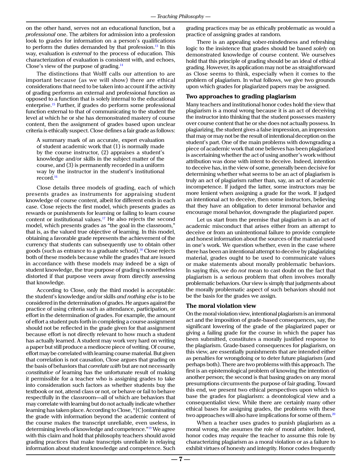on the other hand, serves not an educational function, but a *professional* one. The arbiters for admission into a profession look to grades for information on a person's qualifications to perform the duties demanded by that profession.<sup>[13](#page-10-12)</sup> In this way, evaluation is *external* to the process of education. This characterization of evaluation is consistent with, and echoes, Close's view of the purpose of grading[.14](#page-10-13)

The distinctions that Wolff calls our attention to are important because (as we will show) there are ethical considerations that need to be taken into account if the activity of grading performs an external and professional function as opposed to a function that is solely internal to the educational enterprise[.15](#page-10-14) Further, if grades do perform some professional function external to that of communicating to the student the level at which he or she has demonstrated mastery of course content, then the assignment of grades based upon unclear criteria is ethically suspect. Close defines a fair grade as follows:

A summary mark of an accurate, expert evaluation of student academic work that (1) is normally made by the course instructor, (2) appraises a student's knowledge and/or skills in the subject matter of the course, and (3) is permanently recorded in a uniform way by the instructor in the student's institutional record[.16](#page-10-15)

Close details three models of grading, each of which presents grades as instruments for appraising student knowledge of course content, albeit for different ends in each case. Close rejects the first model, which presents grades as rewards or punishments for learning or failing to learn course content or institutional values.<sup>[17](#page-10-16)</sup> He also rejects the second model, which presents grades as "the goal in the classroom," that is, as the valued true objective of learning. In this model, obtaining a favorable grade represents the achievement of the currency that students can subsequently use to obtain other goods (such as entrance to a graduate school).<sup>18</sup> Close rejects both of these models because while the grades that are issued in accordance with these models may indeed be a sign of student knowledge, the true purpose of grading is nonetheless distorted if that purpose veers away from directly assessing that knowledge.

According to Close, only the third model is acceptable: the student's knowledge and/or skills *and nothing else* is to be considered in the determination of grades. He argues against the practice of using criteria such as attendance, participation, or effort in the determination of grades. For example, the amount of effort a student puts forth in completing a course assignment should not be reflected in the grade given for that assignment because effort is not directly relevant to how much a student has actually learned. A student may work very hard on writing a paper but still produce a mediocre piece of writing. Of course, effort may be correlated with learning course material. But given that correlation is not causation, Close argues that grading on the basis of behaviors that *correlate with* but are not necessarily *constitutive of* learning has the unfortunate result of making it permissible for a teacher who is assigning grades to take into consideration such factors as whether students buy the textbook or not, attend class or not, or behave or fail to behave respectfully in the classroom—all of which are behaviors that may correlate with learning but do not actually indicate whether learning has taken place. According to Close, "[C]ontaminating the grade with information beyond the academic content of the course makes the transcript unreliable, even useless, in determining levels of knowledge and competence.["19](#page-10-18) We agree with this claim and hold that philosophy teachers should avoid grading practices that make transcripts unreliable in relaying information about student knowledge and competence. Such

grading practices may be as ethically problematic as would a practice of assigning grades at random.

There is an appealing sober-mindedness and refreshing logic to the insistence that grades should be based *solely* on demonstrated knowledge of course content. We ourselves hold that this principle of grading should be an ideal of ethical grading. However, its application may not be as straightforward as Close seems to think, especially when it comes to the problem of plagiarism. In what follows, we give two grounds upon which grades for plagiarized papers may be assigned.

#### **Two approaches to grading plagiarism**

Many teachers and institutional honor codes hold the view that plagiarism is a moral wrong because it is an act of deceiving the instructor into thinking that the student possesses mastery over course content that he or she does not actually possess. In plagiarizing, the student gives a false impression, an impression that may or may not be the result of intentional deception on the student's part. One of the main problems with downgrading a piece of academic work that one believes has been plagiarized is ascertaining whether the act of using another's work without attribution was done with intent to deceive. Indeed, intention to deceive has, in the view of some, generally been decisive for determining whether what seems to be an act of plagiarism is truly an act of plagiarism rather than, say, an act of academic incompetence. If judged the latter, some instructors may be more lenient when assigning a grade for the work. If judged an intentional act to deceive, then some instructors, believing that they have an obligation to deter immoral behavior and encourage moral behavior, downgrade the plagiarized paper.

Let us start from the premise that plagiarism is an act of academic misconduct that arises either from an attempt to deceive or from an unintentional failure to provide complete and honest information about the sources of the material used in one's work. We question whether, even in the case where there has been an intentional attempt to deceive by plagiarizing material, grades ought to be used to communicate values or make statements about morally problematic behaviors. In saying this, we do *not* mean to cast doubt on the fact that plagiarism is a serious problem that often involves morally problematic behaviors. Our view is simply that judgments about the morally problematic aspect of such behaviors should not be the basis for the grades we assign.

#### **The moral violation view**

On the moral violation view, intentional plagiarism is an immoral act and the imposition of grade-based consequences, say, the significant lowering of the grade of the plagiarized paper or giving a failing grade for the course in which the paper has been submitted, constitutes a morally justified response to the plagiarism. Grade-based consequences for plagiarism, on this view, are essentially punishments that are intended either as penalties for wrongdoing or to deter future plagiarism (and perhaps both). There are two problems with this approach. The first is an epistemological problem of knowing the intention of another person; the second is that basing grades on any moral presumptions circumvents the purpose of fair grading. Toward this end, we present two ethical perspectives upon which to base the grades for plagiarism: a deontological view and a consequentialist view. While there are certainly many other ethical bases for assigning grades, the problems with these two approaches will also have implications for some of them.<sup>[20](#page-10-19)</sup>

When a teacher uses grades to punish plagiarism as a moral wrong, she assumes the role of moral arbiter. Indeed, honor codes may *require* the teacher to assume this role by characterizing plagiarism as a moral violation or as a failure to exhibit virtues of honesty and integrity. Honor codes frequently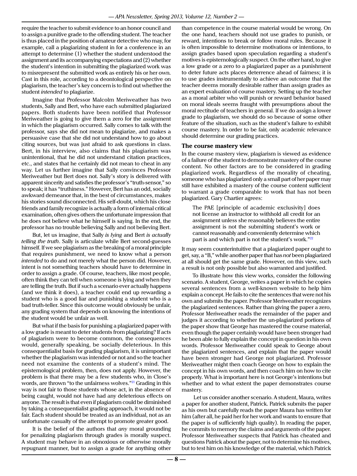require the teacher to submit evidence to an honor council and to assign a punitive grade to the offending student. The teacher is thus placed in the position of amateur detective who may, for example, call a plagiarizing student in for a conference in an attempt to determine (1) whether the student understood the assignment and its accompanying expectations and (2) whether the student's intention in submitting the plagiarized work was to misrepresent the submitted work as entirely his or her own. Cast in this role, according to a deontological perspective on plagiarism, the teacher's key concern is to find out whether the student *intended* to plagiarize.

Imagine that Professor Malcolm Meriweather has two students, Sally and Bert, who have each submitted plagiarized papers. Both students have been notified that Professor Meriweather is going to give them a zero for the assignment in which the plagiarism occurred. Sally comes to talk with the professor, says she did not mean to plagiarize, and makes a persuasive case that she did not understand how to go about citing sources, but was just afraid to ask questions in class. Bert, in his interview, also claims that his plagiarism was unintentional, that he did not understand citation practices, etc., and states that he certainly did not mean to cheat in any way. Let us further imagine that Sally convinces Professor Meriweather but Bert does not. Sally's story is delivered with apparent sincerity and satisfies the professor's "truth-sensor," so to speak; it has "truthiness." However, Bert has an odd, socially awkward demeanor that, in the best of circumstances, makes his stories sound disconnected. His self-doubt, which his close friends and family recognize is actually a form of internal critical examination, often gives others the unfortunate impression that he does not believe what he himself is saying. In the end, the professor has no trouble believing Sally and not believing Bert.

But, let us imagine, that Sally *is lying* and Bert *is actually telling the truth*. Sally is articulate while Bert second-guesses himself. If we see plagiarism as the breaking of a moral principle that requires punishment, we need to know what a person *intended* to do and not merely what the person did. However, intent is not something teachers should have to determine in order to assign a grade. Of course, teachers, like most people, often think they can tell when someone is lying and when they are telling the truth. But if such a scenario ever actually happens (and we think it does), a teacher could end up rewarding a student who is a good liar and punishing a student who is a bad truth-teller. Since this outcome would obviously be unfair, any grading system that depends on knowing the intentions of the student would be unfair as well.

But what if the basis for punishing a plagiarized paper with a low grade is meant to deter students from plagiarizing? If acts of plagiarism were to become common, the consequences would, generally speaking, be socially deleterious. In this consequentialist basis for grading plagiarism, it is unimportant whether the plagiarism was intended or not and so the teacher need not examine the contents of a student's mind. The epistemological problem, then, does not apply. However, the problem is that there may be a few students who, in Close's words, are thrown "to the unfairness wolves.["21](#page-10-20) Grading in this way is not fair to those students whose act, in the absence of being caught, would not have had any deleterious effects on anyone. The result is that even if plagiarism could be diminished by taking a consequentialist grading approach, it would not be fair. Each student should be treated as an individual, not as an unfortunate casualty of the attempt to promote greater good.

It is the belief of the authors that *any* moral grounding for penalizing plagiarism through grades is morally suspect. A student may behave in an obnoxious or otherwise morally repugnant manner, but to assign a grade for anything other

than competence in the course material would be wrong. On the one hand, teachers should not use grades to punish, or reward, intentions to break or follow moral rules. Because it is often impossible to determine motivations or intentions, to assign grades based upon speculation regarding a student's motives is epistemologically suspect. On the other hand, to give a low grade or a zero to a plagiarized paper as a punishment to deter future acts places deterrence ahead of fairness; it is to use grades instrumentally to achieve an outcome that the teacher deems morally desirable rather than assign grades as an expert evaluation of course mastery. Setting up the teacher as a moral arbiter who will punish or reward behavior based on moral ideals seems fraught with presumptions about the moral rectitude of teachers in general. If we do assign a lower grade to plagiarism, we should do so because of some other feature of the situation, such as the student's failure to exhibit course mastery. In order to be fair, only academic relevance should determine our grading practices.

#### **The course mastery view**

In the course mastery view, plagiarism is viewed as evidence of a failure of the student to demonstrate mastery of the course content. No other factors are to be considered in grading plagiarized work. Regardless of the morality of cheating, someone who has plagiarized only a small part of her paper may still have exhibited a mastery of the course content sufficient to warrant a grade comparable to work that has not been plagiarized. Gary Chartier agrees:

The PAE [principle of academic exclusivity] does not license an instructor to withhold all credit for an assignment unless she reasonably believes the entire assignment is not the submitting student's work or cannot reasonably and conveniently determine which part is and which part is not the student's work."[22](#page-10-21)

It may seem counterintuitive that a plagiarized paper ought to get, say, a "B," while another paper that has *not* been plagiarized at all should get the same grade. However, on this view, such a result is not only possible but also warranted and justified.

To illustrate how this view works, consider the following scenario. A student, George, writes a paper in which he copies several sentences from a well-known website to help him explain a concept. He fails to cite the sentences that were not his own and submits the paper. Professor Meriweather recognizes the plagiarized sentences. Rather than giving the paper a zero, Professor Meriweather reads the remainder of the paper and judges it according to whether the un-plagiarized portions of the paper show that George has mastered the course material, even though the paper certainly would have been stronger had he been able to fully explain the concept in question in his own words. Professor Meriweather could speak to George about the plagiarized sentences, and explain that the paper would have been stronger had George not plagiarized. Professor Meriweather might then coach George on how to explain the concept in his own words, and then coach him on how to cite properly. What is important here is not George's intentions but whether and to what extent the paper demonstrates course mastery.

 Let us consider another scenario. A student, Maura, writes a paper for another student, Patrick. Patrick submits the paper as his own but carefully reads the paper Maura has written for him (after all, he paid her for her work and wants to ensure that the paper is of sufficiently high quality). In reading the paper, he commits to memory the claims and arguments of the paper. Professor Meriweather suspects that Patrick has cheated and questions Patrick about the paper, not to determine his motives, but to test him on his knowledge of the material, which Patrick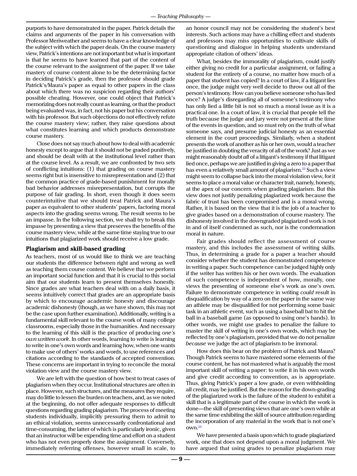purports to have demonstrated in the paper. Patrick details the claims and arguments of the paper in his conversation with Professor Meriweather and seems to have a clear knowledge of the subject with which the paper deals. On the course mastery view, Patrick's intentions are not important but what is important is that he seems to have learned that part of the content of the course relevant to the assignment of the paper. If we take mastery of course content alone to be the determining factor in deciding Patrick's grade, then the professor should grade Patrick's/Maura's paper as equal to other papers in the class about which there was no suspicion regarding their authors' possible cheating. However, one could object that Patrick's memorizing does not really count as learning, or that the product being evaluated was, in fact, not his paper but his conversation with his professor. But such objections do not effectively refute the course mastery view; rather, they raise questions about what constitutes learning and which products demonstrate course mastery.

Close does not say much about how to deal with academic honesty except to argue that it should not be graded punitively, and should be dealt with at the institutional level rather than at the course level. As a result, we are confronted by two sets of conflicting intuitions: (1) that grading on course mastery seems right but is insensitive to misrepresentation and (2) that the common practice of grade-based punishment for morally bad behavior addresses misrepresentation, but corrupts the purpose of fair grading. In short, even though it does seem counterintuitive that we should treat Patrick and Maura's paper as equivalent to other students' papers, factoring moral aspects into the grading seems wrong. The result seems to be an impasse. In the following section, we shall try to break this impasse by presenting a view that preserves the benefits of the course mastery view, while at the same time staying true to our intuitions that plagiarized work should receive a low grade.

#### **Plagiarism and skill-based grading**

As teachers, most of us would like to think we are teaching our students the difference between right and wrong as well as teaching them course content. We believe that we perform an important social function and that it is crucial to this social aim that our students learn to present themselves honestly. Since grades are what teachers deal with on a daily basis, it seems intuitively correct that grades are an appropriate basis by which to encourage academic honesty and discourage academic dishonesty (though, as we have shown, this may not be the case upon further examination). Additionally, writing is a fundamental skill relevant to the course work of many college classrooms, especially those in the humanities. And necessary to the learning of this skill is the practice of producing *one's own written work*. In other words, learning to write is learning to write in one's own words and learning how, when one wants to make use of others' works and words, to use references and citations according to the standards of accepted convention. These concerns are important in trying to reconcile the moral violation view and the course mastery view.

We are left with the question of how best to treat cases of plagiarism when they occur. Institutional structures are often in place. However, such structures, and the measures they require, may do little to lessen the burden on teachers, and, as we noted at the beginning, do not offer adequate responses to difficult questions regarding grading plagiarism. The process of meeting students individually, implicitly pressuring them to admit to an ethical violation, seems unnecessarily confrontational and time-consuming, the latter of which is particularly ironic, given that an instructor will be expending time and effort on a student who has not even properly done the assignment. Conversely, immediately referring offenses, however small in scale, to

an honor council may not be considering the student's best interests. Such actions may have a chilling effect and students and professors may miss opportunities to cultivate skills of questioning and dialogue in helping students understand appropriate citation of others' ideas.

What, besides the immorality of plagiarism, could justify either giving no credit for a particular assignment, or failing a student for the entirety of a course, no matter how much of a paper that student has copied? In a court of law, if a litigant lies once, the judge might very well decide to throw out all of the person's testimony. How can you believe someone who has lied once? A judge's disregarding all of someone's testimony who has only lied a little bit is not so much a moral issue as it is a practical one. In a court of law, it is crucial that people tell the truth because the judge and jury were not present at the time of the events in question, and so must rely on the truth of what someone says, and presume judicial honesty as an essential element in the court proceedings. Similarly, when a student presents the work of another as his or her own, would a teacher be justified in doubting the veracity of all of the work? Just as we might reasonably doubt *all* of a litigant's testimony if that litigant lied once, perhaps we are justified in giving a zero to a paper that has even a relatively small amount of plagiarism.<sup>[23](#page-10-22)</sup> Such a view might seem to collapse back into the moral violation view, for it seems to place a moral value or character trait, namely, honesty, at the apex of our concern when grading plagiarism. But this view does not justify penalizing plagiarized work because the fabric of trust has been compromised and is a moral wrong. Rather, it is based on the view that it is the job of a teacher to give grades based on a demonstration of course mastery. The dishonesty involved in the downgraded plagiarized work is not in and of itself condemned as such, nor is the condemnation moral in nature.

Fair grades should reflect the assessment of course mastery, and this includes the assessment of writing skills. Thus, in determining a grade for a paper a teacher should consider whether the student has demonstrated competence in writing a paper. Such competence can be judged highly only if the writer has written his or her own words. The evaluation of such competence is independent of how, morally, one views the presenting of someone else's work as one's own. Failure to demonstrate competence in writing *could* result in disqualification by way of a zero on the paper in the same way an athlete may be disqualified for not performing some basic task in an athletic event, such as using a baseball bat to hit the ball in a baseball game (as opposed to using one's hands). In other words, we might use grades to penalize the failure to master the skill of writing in one's own words, which may be reflected by one's plagiarism, provided that we do not penalize *because* we judge the act of plagiarism to be immoral.

How does this bear on the problem of Patrick and Maura? Though Patrick seems to have mastered some elements of the course content, he has not mastered what is arguably the most important skill of writing a paper: to write it in his own words and give credit according to convention, as is appropriate. Thus, giving Patrick's paper a low grade, or even withholding all credit, may be justified. But the reason for the down-grading of the plagiarized work is the failure of the student to exhibit a skill that is a legitimate part of the course in which the work is done—the skill of presenting views that are one's own while at the same time exhibiting the skill of source attribution regarding the incorporation of any material in the work that is not one's own.[24](#page-10-23)

We have presented a basis upon which to grade plagiarized work, one that does not depend upon a moral judgment. We have argued that using grades to penalize plagiarism may

**— 9 —**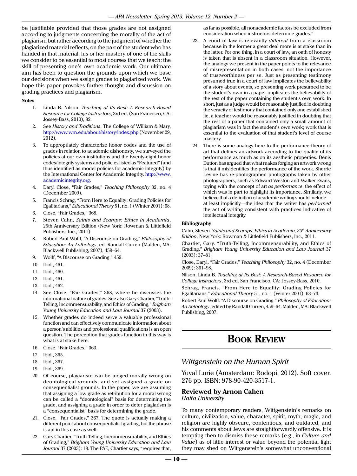be justifiable provided that those grades are not assigned according to judgments concerning the morality of the act of plagiarism but rather according to the judgment of whether the plagiarized material reflects, on the part of the student who has handed in that material, his or her mastery of one of the skills we consider to be essential to most courses that we teach: the skill of presenting one's own academic work. Our ultimate aim has been to question the grounds upon which we base our decisions when we assign grades to plagiarized work. We hope this paper provokes further thought and discussion on grading practices and plagiarism.

#### **Notes**

- <span id="page-10-0"></span>1. Linda B. Nilson, *Teaching at Its Best: A Research-Based Resource for College Instructors*, 3rd ed. (San Francisco, CA: Jossey-Bass, 2010), 82.
- <span id="page-10-1"></span>2. See *History and Traditions*, The College of William & Mary, <http://www.wm.edu/about/history/index.php>(November 29, 2012).
- <span id="page-10-2"></span>3. To appropriately characterize honor codes and the use of grades in relation to academic dishonesty, we surveyed the policies at our own institutions and the twenty-eight honor codes/integrity systems and policies listed as "Featured" (and thus identified as model policies for academic integrity) by the International Center for Academic Integrity. [http://www.](http://www.academicintegrity.org) [academicintegrity.org](http://www.academicintegrity.org).
- <span id="page-10-3"></span>4. Daryl Close, "Fair Grades," *Teaching Philosophy* 32, no. 4 (December 2009).
- <span id="page-10-4"></span>5. Francis Schrag, "From Here to Equality: Grading Policies for Egalitarians," *Educational Theory* 51, no. 1 (Winter 2001): 68.
- <span id="page-10-5"></span>6. Close, "Fair Grades," 368.
- <span id="page-10-6"></span>7. Steven Cahn, *Saints and Scamps: Ethics in Academia*, 25th Anniversary Edition (New York: Rowman & Littlefield Publishers, Inc., 2011).
- <span id="page-10-7"></span>8. Robert Paul Wolff, "A Discourse on Grading," *Philosophy of Education: An Anthology*, ed. Randall Curren (Malden, MA: Blackwell Publishing, 2007), 459–64.
- <span id="page-10-8"></span>9. Wolff, "A Discourse on Grading," 459.
- <span id="page-10-9"></span>10. Ibid., 461.
- <span id="page-10-10"></span>11. Ibid., 460.
- <span id="page-10-11"></span>12. Ibid., 461.
- <span id="page-10-12"></span>13. Ibid., 462.
- <span id="page-10-13"></span>14. See Close, "Fair Grades," 368, where he discusses the informational nature of grades. See also Gary Chartier, "Truth-Telling, Incommensurability, and Ethics of Grading," *Brigham Young University Education and Law Journal* 37 (2003).
- <span id="page-10-14"></span>15. Whether grades do indeed serve a valuable professional function and can effectively communicate information about a person's abilities and professional qualifications is an open question. The perception that grades function in this way is what is at stake here.
- <span id="page-10-15"></span>16. Close, "Fair Grades," 363.
- <span id="page-10-16"></span>17. Ibid., 365.
- <span id="page-10-17"></span>18. Ibid., 367.
- <span id="page-10-18"></span>19. Ibid., 369.
- <span id="page-10-19"></span>20. Of course, plagiarism can be judged morally wrong on deontological grounds, and yet assigned a grade on consequentialist grounds. In the paper, we are assuming that assigning a low grade as retribution for a moral wrong can be called a "deontological" basis for determining the grade, and assigning a grade in order to deter plagiarism is a "consequentialist" basis for determining the grade.
- <span id="page-10-20"></span>21. Close, "Fair Grades," 367. The quote is actually making a different point about consequentialist grading, but the phrase is apt in this case as well.
- <span id="page-10-21"></span>22. Gary Chartier, "Truth-Telling, Incommensurability, and Ethics of Grading," *Brigham Young University Education and Law Journal* 37 (2003): 18. The PAE, Chartier says, "requires that,

as far as possible, all nonacademic factors be excluded from consideration when instructors determine grades."

- <span id="page-10-22"></span>23. A court of law is relevantly *different* from a classroom because in the former a great deal more is at stake than in the latter. For one thing, in a court of law, an oath of honesty is taken that is absent in a classroom situation. However, the analogy we present in the paper points to the relevance of misrepresentation in both cases, not the importance of trustworthiness per se. Just as presenting testimony presumed true in a court of law implicates the believability of a story about events, so presenting work presumed to be the student's own in a paper implicates the believability of the rest of the paper containing the student's own work. In short, just as a judge would be reasonably justified in doubting the veracity of testimony that contained only one established lie, a teacher would be reasonably justified in doubting that the rest of a paper that contained only a small amount of plagiarism was in fact the student's own work; work that is essential to the evaluation of that student's level of course mastery.
- <span id="page-10-23"></span>24. There is some analogy here to the performance theory of art that defines an artwork according to the quality of its performance as much as on its aesthetic properties. Denis Dutton has argued that what makes forging an artwork wrong is that it misidentifies the performance of the work. Sherrie Levine has re-photographed photographs taken by other photographers, such as Edward Weston and Walker Evans, toying with the concept of art *as performance*, the effect of which was in part to highlight its importance. Similarly, we believe that a definition of academic writing should include at least implicitly—the idea that the writer has *performed* the act of writing consistent with practices indicative of intellectual integrity.

#### **Bibliography**

Cahn, Steven. *Saints and Scamps: Ethics in Academia, 25th Anniversary Edition*. New York: Rowman & Littlefield Publishers, Inc., 2011.

Chartier, Gary. "Truth-Telling, Incommensurability, and Ethics of Grading." *Brigham Young University Education and Law Journal* 37 (2003): 37–81.

Close, Daryl. "Fair Grades," *Teaching Philosophy* 32, no. 4 (December 2009): 361–98.

Nilson, Linda B. *Teaching at Its Best: A Research-Based Resource for College Instructors*, 3rd ed. San Francisco, CA: Jossey-Bass, 2010.

Schrag, Francis. "From Here to Equality: Grading Policies for Egalitarians." *Educational Theory* 51, no. 1 (Winter 2001): 63–73.

Robert Paul Wolff. "A Discourse on Grading." *Philosophy of Education: An Anthology*, edited by Randall Curren, 459–64. Malden, MA: Blackwell Publishing, 2007.

# **Book Review**

### *Wittgenstein on the Human Spirit*

Yuval Lurie (Amsterdam: Rodopi, 2012). Soft cover. 276 pp. ISBN: 978-90-420-3517-1.

### **Reviewed by Arnon Cahen** *Haifa University*

To many contemporary readers, Wittgenstein's remarks on culture, civilization, value, character, spirit, myth, magic, and religion are highly obscure, contentious, and outdated, and his comments about Jews are straightforwardly offensive. It is tempting then to dismiss these remarks (e.g., in *Culture and Value*) as of little interest or value beyond the potential light they may shed on Wittgenstein's somewhat unconventional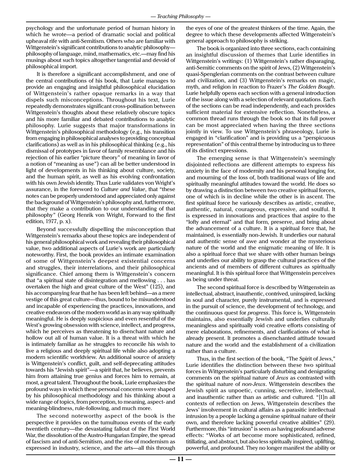psychology and the unfortunate period of human history in which he wrote—a period of dramatic social and political upheaval rife with anti-Semitism. Others who are familiar with Wittgenstein's significant contributions to analytic philosophy philosophy of language, mind, mathematics, etc.—may find his musings about such topics altogether tangential and devoid of philosophical import.

It is therefore a significant accomplishment, and one of the central contributions of his book, that Lurie manages to provide an engaging and insightful philosophical elucidation of Wittgenstein's rather opaque remarks in a way that dispels such misconceptions. Throughout his text, Lurie repeatedly demonstrates significant cross-pollination between Wittgenstein's thoughts about these relatively obscure topics and his more familiar and debated contributions to analytic philosophy. Lurie suggests that major transformations in Wittgenstein's philosophical methodology (e.g., his transition from engaging in philosophical analyses to providing conceptual clarifications) as well as in his philosophical thinking (e.g., his dismissal of prototypes in favor of family resemblance and his rejection of his earlier "picture theory" of meaning in favor of a notion of "meaning as use") can all be better understood in light of developments in his thinking about culture, society, and the human spirit, as well as his evolving confrontation with his own Jewish identity. Thus Lurie validates von Wright's assurance, in the foreword to *Culture and Value*, that "these notes can be properly understood and appreciated only against the background of Wittgenstein's philosophy and, furthermore, that they make a contribution to our understanding of that philosophy" (Georg Henrik von Wright, Forward to the first edition, 1977, p. x).

Beyond successfully dispelling the misconception that Wittgenstein's remarks about these topics are independent of his general philosophical work and revealing their philosophical value, two additional aspects of Lurie's work are particularly noteworthy. First, the book provides an intimate examination of some of Wittgenstein's deepest existential concerns and struggles, their interrelations, and their philosophical significance. Chief among them is Wittgenstein's concern that "a spiritual state of disintegration and mellowing . . . has overtaken the high and great culture of the West" (125), and his accompanying fear that he has been left behind—as a mere vestige of this great culture—thus, bound to be misunderstood and incapable of experiencing the practices, innovations, and creative endeavors of the modern world as in any way spiritually meaningful. He is deeply suspicious and even resentful of the West's growing obsession with science, intellect, and progress, which he perceives as threatening to disenchant nature and hollow out all of human value. It is a threat with which he is intimately familiar as he struggles to reconcile his wish to live a religious and deeply spiritual life while also adopting a modern scientific worldview. An additional source of anxiety is Wittgenstein's conflict, guilt, and self-deprecating attitudes towards his "Jewish spirit"—a spirit that, he believes, prevents him from attaining true genius and forces him to remain, at most, a great talent. Throughout the book, Lurie emphasizes the profound ways in which these personal concerns were shaped by his philosophical methodology and his thinking about a wide range of topics, from perception, to meaning, aspect- and meaning-blindness, rule-following, and much more.

The second noteworthy aspect of the book is the perspective it provides on the tumultuous events of the early twentieth century—the devastating fallout of the First World War, the dissolution of the Austro-Hungarian Empire, the spread of fascism and of anti-Semitism, and the rise of modernism as expressed in industry, science, and the arts—all this through

the eyes of one of the greatest thinkers of the time. Again, the degree to which these developments affected Wittgenstein's general approach to philosophy is striking.

The book is organized into three sections, each containing an insightful discussion of themes that Lurie identifies in Wittgenstein's writings: (1) Wittgenstein's rather disparaging, anti-Semitic comments on the spirit of Jews, (2) Wittgenstein's quasi-Spenglerian comments on the contrast between culture and civilization, and (3) Wittgenstein's remarks on magic, myth, and religion in reaction to Frazer's *The Golden Bough*. Lurie helpfully opens each section with a general introduction of the issue along with a selection of relevant quotations. Each of the sections can be read independently, and each provides sufficient material for extensive reflection. Nonetheless, a common thread runs through the book so that its full power can be most appreciated when having the three sections jointly in view. To use Wittgenstein's phraseology, Lurie is engaged in "clarification" and is providing us a "perspicuous representation" of this central theme by introducing us to three of its distinct expressions.

The emerging sense is that Wittgenstein's seemingly disjointed reflections are different attempts to express his anxiety in the face of modernity and his personal longing for, and mourning of the loss of, both traditional ways of life and spiritually meaningful attitudes toward the world. He does so by drawing a distinction between two creative spiritual forces, one of which is in decline while the other is in ascent. The first spiritual force he variously describes as artistic, creative, authentic, natural, courageous, expressive, and soulful. It is expressed in innovations and practices that aspire to the "lofty and eternal" and that form, preserve, and bring about the advancement of a culture. It is a spiritual force that, he maintained, is essentially non-Jewish. It underlies our natural and authentic sense of awe and wonder at the mysterious nature of the world and the enigmatic meaning of life. It is also a spiritual force that we share with other human beings and underlies our ability to grasp the cultural practices of the ancients and of members of different cultures as spiritually meaningful. It is this spiritual force that Wittgenstein perceives as being under threat.

The second spiritual force is described by Wittgenstein as intellectual, abstract, inauthentic, contrived, uninspired, lacking in soul and character, purely instrumental, and is expressed in the pursuit of science, the development of technology, and the continuous quest for *progress*. This force is, Wittgenstein maintains, also essentially Jewish and underlies culturally meaningless and spiritually void creative efforts consisting of mere elaborations, refinements, and clarifications of what is already present. It promotes a disenchanted attitude toward nature and the world and the establishment of a civilization rather than a culture.

Thus, in the first section of the book, "The Spirit of Jews," Lurie identifies the distinction between these two spiritual forces in Wittgenstein's particularly disturbing and denigrating comments on the spiritual nature of *Jews* as contrasted with the spiritual nature of *non-Jews*. Wittgenstein describes the Jewish spirit as unpoetic, cunning, secretive, intellectual, and inauthentic rather than as artistic and cultured. "[I]n all contexts of reflection on Jews, Wittgenstein describes the Jews' involvement in cultural affairs as a parasitic intellectual intrusion by a people lacking a genuine spiritual nature of their own, and therefore lacking powerful creative abilities" (29). Furthermore, this "intrusion" is seen as having profound adverse effects: "Works of art become more sophisticated, refined, titillating, and abstract, but also less spiritually inspired, uplifting, powerful, and profound. They no longer manifest the ability or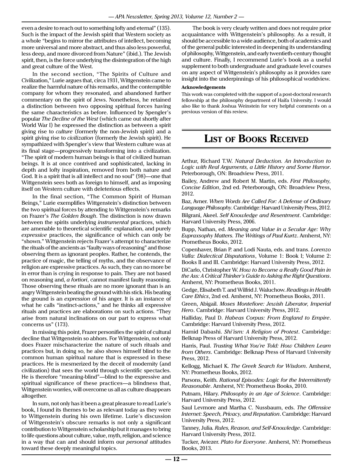even a desire to reach out to something lofty and eternal" (135). Such is the impact of the Jewish spirit that Western society as a whole "begins to mirror the attributes of intellect, becoming more universal and more abstract, and thus also less powerful, less deep, and more divorced from Nature" (ibid.). The Jewish spirit, then, is the force underlying the disintegration of the high and great culture of the West.

In the second section, "The Spirits of Culture and Civilization," Lurie argues that, circa 1931, Wittgenstein came to realize the harmful nature of his remarks, and the contemptible company for whom they resonated, and abandoned further commentary on the spirit of Jews. Nonetheless, he retained a distinction between two opposing spiritual forces having the same characteristics as before. Influenced by Spengler's popular *The Decline of the West* (which came out shortly after World War I) he expressed the distinction as between a spirit giving rise to *culture* (formerly the non-Jewish spirit) and a spirit giving rise to *civilization* (formerly the Jewish spirit). He sympathized with Spengler's view that Western culture was at its final stage—progressively transforming into a civilization. "The spirit of modern human beings is that of civilized human beings. It is at once contrived and sophisticated, lacking in depth and lofty inspiration, removed from both nature and God. It is a spirit that is all intellect and no soul" (98)—one that Wittgenstein sees both as foreign to himself, and as imposing itself on Western culture with deleterious effects.

In the final section, "The Common Spirit of Human Beings," Lurie exemplifies Wittgenstein's distinction between the two spiritual forces by attending to Wittgenstein's remarks on Frazer's *The Golden Bough*. The distinction is now drawn between the spirits underlying *instrumental* practices, which are amenable to theoretical scientific explanation, and purely *expressive* practices, the significance of which can only be "shown." Wittgenstein rejects Frazer's attempt to characterize the rituals of the ancients as "faulty ways of reasoning" and those observing them as ignorant peoples. Rather, he contends, the practice of magic, the telling of myths, and the observance of religion are expressive practices. As such, they can no more be in error than is crying in response to pain. They are not based on reasoning and, *a fortiori*, cannot manifest faulty reasoning. Those observing these rituals are no more ignorant than is an angry Wittgenstein beating the ground with his stick. His beating the ground is an *expression* of his anger. It is an instance of what he calls "instinct-actions," and he thinks all expressive rituals and practices are elaborations on such actions. "They arise from natural inclinations on our part to express what concerns us" (173).

In missing this point, Frazer personifies the spirit of cultural decline that Wittgenstein so abhors. For Wittgenstein, not only does Frazer mischaracterize the nature of such rituals and practices but, in doing so, he also shows himself blind to the common human spiritual nature that is expressed in these practices. He is mesmerized by the deceit of modernity (and civilization) that sees the world through scientific spectacles. He is therefore "meaning-blind"—blind to the expressive and spiritual significance of these practices—a blindness that, Wittgenstein worries, will overcome us all as culture disappears altogether.

In sum, not only has it been a great pleasure to read Lurie's book, I found its themes to be as relevant today as they were to Wittgenstein during his own lifetime. Lurie's discussion of Wittgenstein's obscure remarks is not only a significant contribution to Wittgenstein scholarship but it manages to bring to life questions about culture, value, myth, religion, and science in a way that can and should inform our *personal* attitudes toward these deeply meaningful topics.

The book is very clearly written and does not require prior acquaintance with Wittgenstein's philosophy. As a result, it should be accessible to a wide audience, both of academics and of the general public interested in deepening its understanding of philosophy, Wittgenstein, and early twentieth-century thought and culture. Finally, I recommend Lurie's book as a useful supplement to both undergraduate and graduate level courses on any aspect of Wittgenstein's philosophy as it provides rare insight into the underpinnings of his philosophical worldview.

#### **Acknowledgements**

This work was completed with the support of a post-doctoral research fellowship at the philosophy department of Haifa University. I would also like to thank Joshua Weinstein for very helpful comments on a previous version of this review.

# **List of Books Received**

Arthur, Richard T.W. *Natural Deduction. An Introduction to Logic with Real Arguments, a Little History and Some Humor*. Peterborough, ON: Broadview Press, 2011.

Bailey, Andrew and Robert M. Martin, eds. *First Philosophy, Concise Edition*, 2nd ed. Peterborough, ON: Broadview Press, 2012.

Baz, Avner. *When Words Are Called For: A Defense of Ordinary Language Philosophy*. Cambridge: Harvard University Press, 2012. Bilgrani, Akeel. *Self Knowledge and Resentment*. Cambridge: Harvard University Press, 2006.

Bupp, Nathan, ed. *Meaning and Value in a Secular Age: Why Eupraxsophy Matters. The Writings of Paul Kurtz*. Amherst, NY: Prometheus Books, 2012.

Copenhaver, Brian P. and Lodi Nauta, eds. and trans. *Lorenzo Valla: Dialectical Disputations*, Volume 1: Book I; Volume 2: Books II and III. Cambridge: Harvard University Press, 2012.

DiCarlo, Christopher W. *How to Become a Really Good Pain in the Ass: A Critical Thinker's Guide to Asking the Right Questions*. Amherst, NY: Prometheus Books, 2011.

Gedge, Elisabeth T. and Wilfrid J. Waluchow. *Readings in Health Care Ethics*, 2nd ed. Amherst, NY: Prometheus Books, 2011.

Green, Abigail. *Moses Montefiore: Jewish Liberator, Imperial Hero*. Cambridge: Harvard University Press, 2012.

Halliday, Paul D. *Habeas Corpus: From England to Empire*. Cambridge: Harvard University Press, 2012.

Hamid Dabashi. *Shi'ism: A Religion of Protest*. Cambridge: Belknap Press of Harvard University Press, 2012.

Harris, Paul. *Trusting What You're Told: How Children Learn from Others*. Cambridge: Belknap Press of Harvard University Press, 2012.

Kellogg, Michael K. *The Greek Search for Wisdom*. Amherst, NY: Prometheus Books, 2012.

Parsons, Keith. *Rational Episodes: Logic for the Intermittently Reasonable*. Amherst, NY: Prometheus Books, 2010.

Putnam, Hilary. *Philosophy in an Age of Science*. Cambridge: Harvard University Press, 2012.

Saul Levmore and Martha C. Nussbaum, eds. *The Offensive Internet: Speech, Privacy, and Reputation*. Cambridge: Harvard University Press, 2012.

Tanney, Julia*. Rules, Reason, and Self-Knowledge*. Cambridge: Harvard University Press, 2012.

Tucker, Aviezer. *Plato for Everyone*. Amherst, NY: Prometheus Books, 2013.